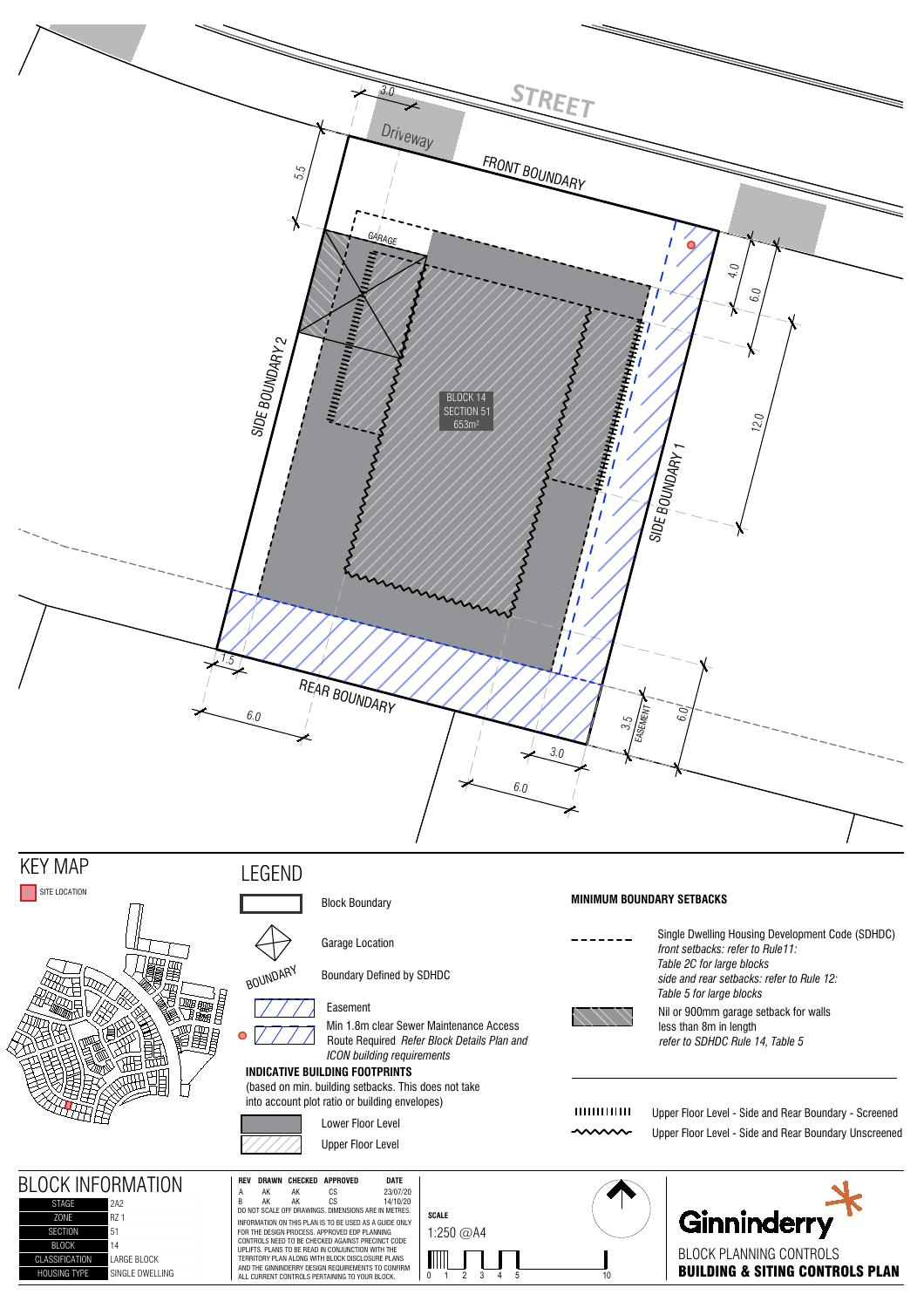